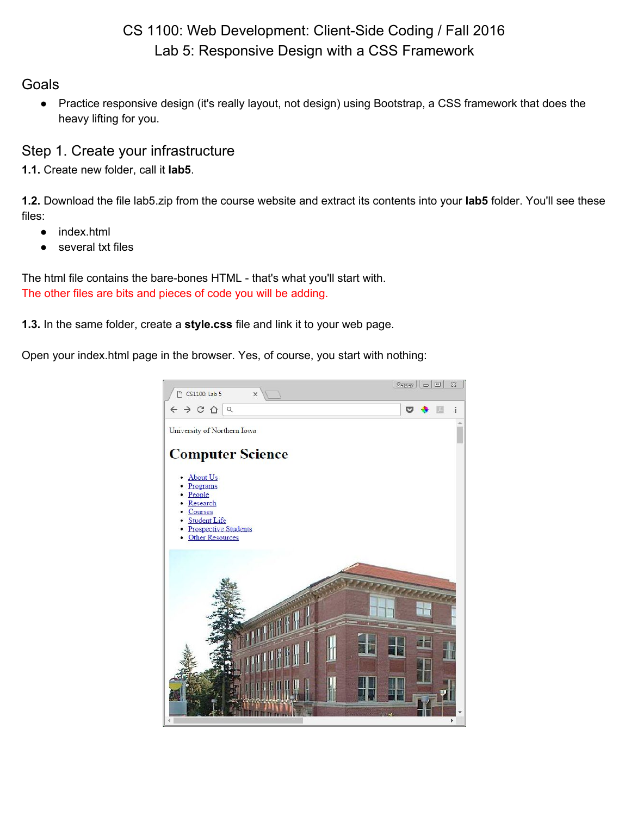# CS 1100: Web Development: Client-Side Coding / Fall 2016 Lab 5: Responsive Design with a CSS Framework

### **Goals**

● Practice responsive design (it's really layout, not design) using Bootstrap, a CSS framework that does the heavy lifting for you.

### Step 1. Create your infrastructure

**1.1.** Create new folder, call it **lab5**.

**1.2.** Download the file lab5.zip from the course website and extract its contents into your **lab5** folder. You'll see these files:

- index.html
- several txt files

The html file contains the bare-bones HTML - that's what you'll start with. The other files are bits and pieces of code you will be adding.

**1.3.** In the same folder, create a **style.css** file and link it to your web page.

Open your index.html page in the browser. Yes, of course, you start with nothing:

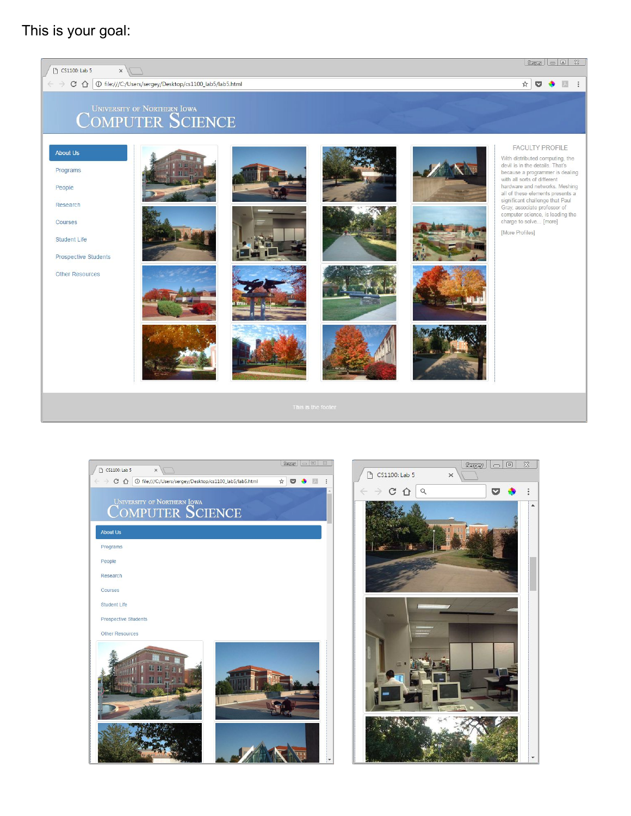# This is your goal:





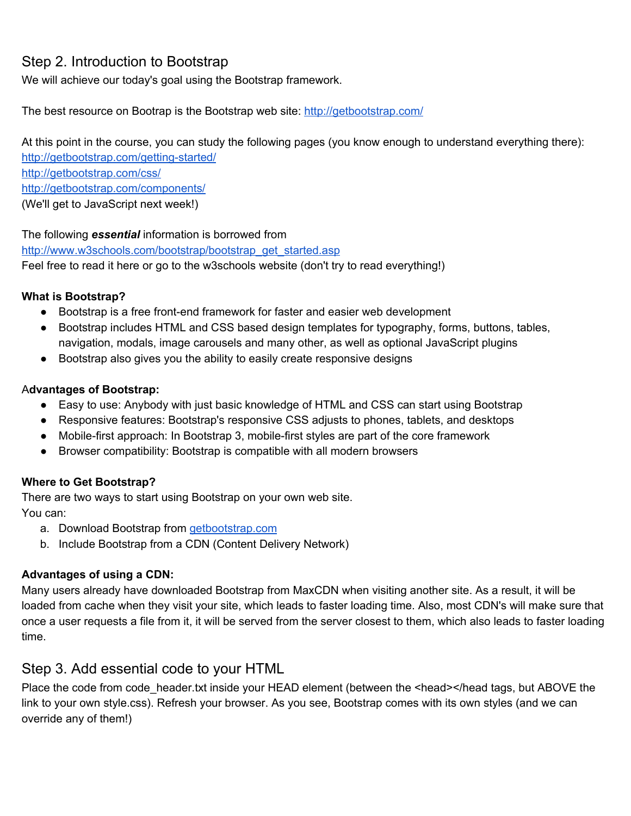# Step 2. Introduction to Bootstrap

We will achieve our today's goal using the Bootstrap framework.

The best resource on Bootrap is the Bootstrap web site: <http://getbootstrap.com/>

At this point in the course, you can study the following pages (you know enough to understand everything there): http://getbootstrap.com/getting-started/ <http://getbootstrap.com/css/> <http://getbootstrap.com/components/> (We'll get to JavaScript next week!)

 The following *essential* information is borrowed from [http://www.w3schools.com/bootstrap/bootstrap\\_get\\_started.asp](http://www.w3schools.com/bootstrap/bootstrap_get_started.asp) Feel free to read it here or go to the w3schools website (don't try to read everything!)

#### **What is Bootstrap?**

- Bootstrap is a free front-end framework for faster and easier web development
- Bootstrap includes HTML and CSS based design templates for typography, forms, buttons, tables, navigation, modals, image carousels and many other, as well as optional JavaScript plugins
- Bootstrap also gives you the ability to easily create responsive designs

#### A**dvantages of Bootstrap:**

- Easy to use: Anybody with just basic knowledge of HTML and CSS can start using Bootstrap
- Responsive features: Bootstrap's responsive CSS adjusts to phones, tablets, and desktops
- Mobile-first approach: In Bootstrap 3, mobile-first styles are part of the core framework
- Browser compatibility: Bootstrap is compatible with all modern browsers

#### **Where to Get Bootstrap?**

There are two ways to start using Bootstrap on your own web site. You can:

- a. Download Bootstrap from [getbootstrap.com](http://getbootstrap.com/)
- b. Include Bootstrap from a CDN (Content Delivery Network)

#### **Advantages of using a CDN:**

Many users already have downloaded Bootstrap from MaxCDN when visiting another site. As a result, it will be loaded from cache when they visit your site, which leads to faster loading time. Also, most CDN's will make sure that once a user requests a file from it, it will be served from the server closest to them, which also leads to faster loading time.

### Step 3. Add essential code to your HTML

Place the code from code header.txt inside your HEAD element (between the <head></head tags, but ABOVE the link to your own style.css). Refresh your browser. As you see, Bootstrap comes with its own styles (and we can override any of them!)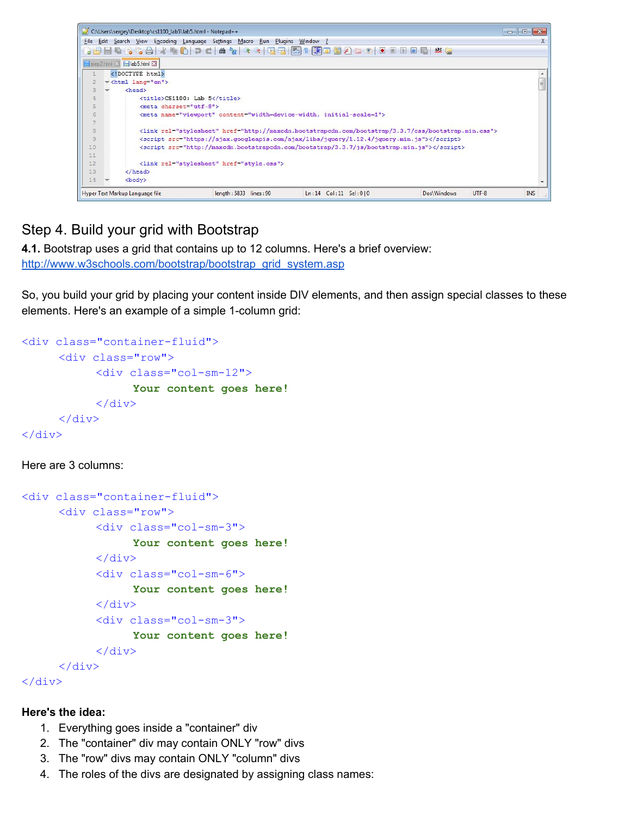

# Step 4. Build your grid with Bootstrap

**4.1.** Bootstrap uses a grid that contains up to 12 columns. Here's a brief overview:

[http://www.w3schools.com/bootstrap/bootstrap\\_grid\\_system.asp](http://www.w3schools.com/bootstrap/bootstrap_grid_system.asp)

So, you build your grid by placing your content inside DIV elements, and then assign special classes to these elements. Here's an example of a simple 1-column grid:

```
<div class="container-fluid">
      <div class="row">
            <div class="col-sm-12">
                  Your content goes here!
            \langle div>
      </div>
\langle div>
```
Here are 3 columns:

```
<div class="container-fluid">
      <div class="row">
             <div class="col-sm-3">
                   Your content goes here!
             </div>
             <div class="col-sm-6">
                   Your content goes here!
             \langle div\rangle<div class="col-sm-3">
                   Your content goes here!
             \langle div>
      \langle div\rangle\langle div>
```
#### **Here's the idea:**

- 1. Everything goes inside a "container" div
- 2. The "container" div may contain ONLY "row" divs
- 3. The "row" divs may contain ONLY "column" divs
- 4. The roles of the divs are designated by assigning class names: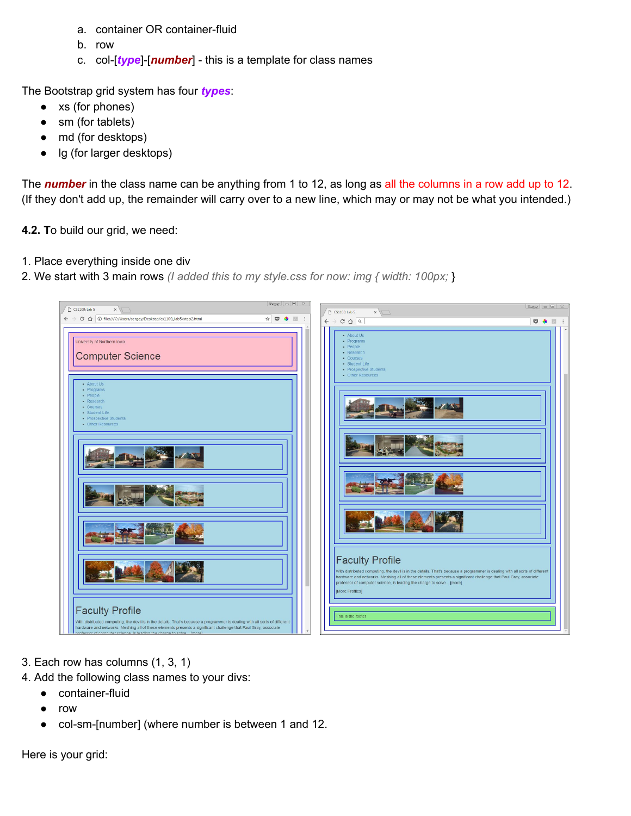- a. container OR container-fluid
- b. row
- c. col-[type]-[*number*] this is a template for class names

The Bootstrap grid system has four *types*:

- xs (for phones)
- sm (for tablets)
- md (for desktops)
- lg (for larger desktops)

The **number** in the class name can be anything from 1 to 12, as long as all the columns in a row add up to 12. (If they don't add up, the remainder will carry over to a new line, which may or may not be what you intended.)

**4.2. T**o build our grid, we need:

- 1. Place everything inside one div
- 2. We start with 3 main rows *(I added this to my style.css for now: img { width: 100px;* }



- 3. Each row has columns (1, 3, 1)
- 4. Add the following class names to your divs:
	- $\bullet$  container-fluid
		- row
		- col-sm-[number] (where number is between 1 and 12.

Here is your grid: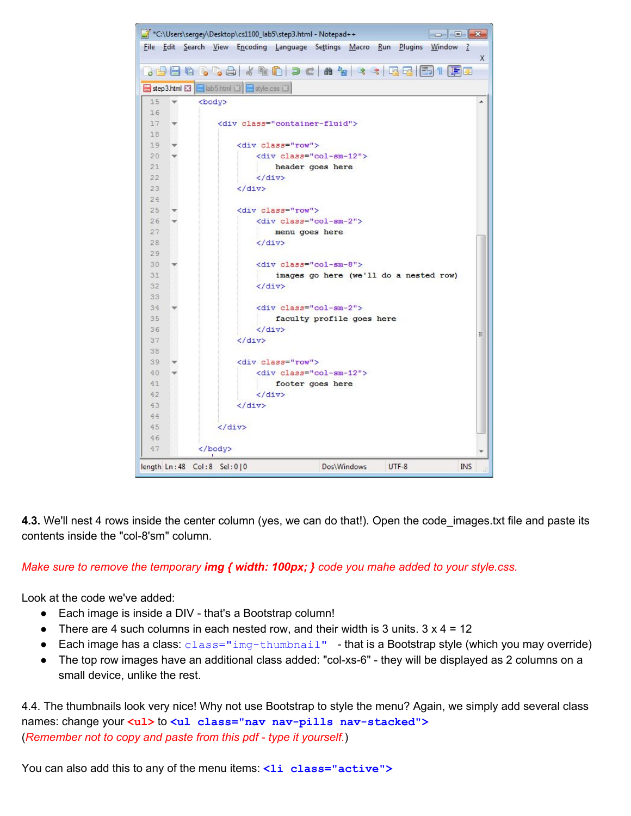

**4.3.** We'll nest 4 rows inside the center column (yes, we can do that!). Open the code\_images.txt file and paste its contents inside the "col-8'sm" column.

#### *Make sure to remove the temporary img { width: 100px; } code you mahe added to your style.css.*

Look at the code we've added:

- Each image is inside a DIV that's a Bootstrap column!
- There are 4 such columns in each nested row, and their width is 3 units.  $3 \times 4 = 12$
- Each image has a class:  $\text{class} = \text{img} \text{thumbnail}$  that is a Bootstrap style (which you may override)
- The top row images have an additional class added: "col-xs-6" they will be displayed as 2 columns on a small device, unlike the rest.

4.4. The thumbnails look very nice! Why not use Bootstrap to style the menu? Again, we simply add several class names: change your **<ul>** to **<ul class="nav navpills navstacked">** (*Remember not to copy and paste from this pdf type it yourself.*)

You can also add this to any of the menu items: <li class="active">